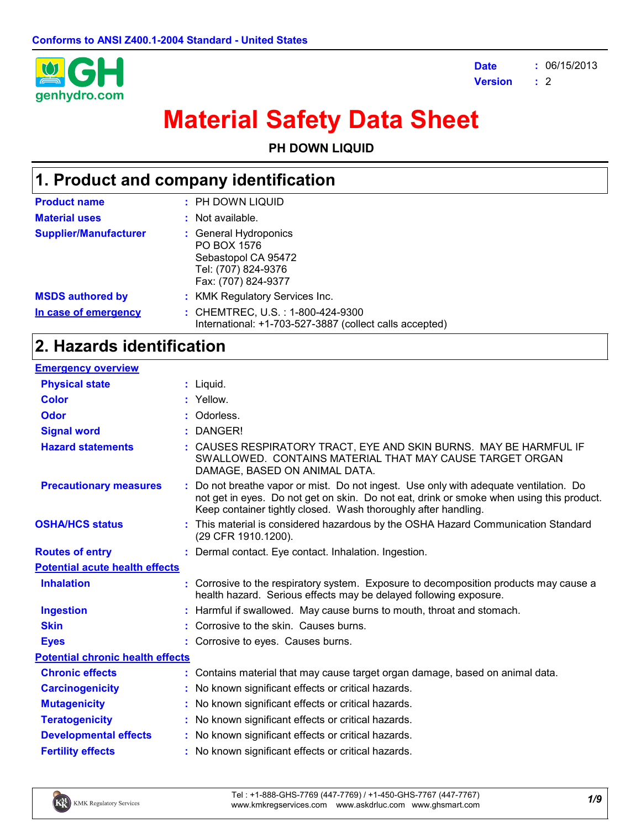

**Date Version : :** 06/15/2013 2

# **Material Safety Data Sheet**

**PH DOWN LIQUID**

## **1. Product and company identification**

| <b>Product name</b>          | : PH DOWN LIQUID                                                                                          |
|------------------------------|-----------------------------------------------------------------------------------------------------------|
| <b>Material uses</b>         | : Not available.                                                                                          |
| <b>Supplier/Manufacturer</b> | : General Hydroponics<br>PO BOX 1576<br>Sebastopol CA 95472<br>Tel: (707) 824-9376<br>Fax: (707) 824-9377 |
| <b>MSDS authored by</b>      | : KMK Regulatory Services Inc.                                                                            |
| In case of emergency         | : CHEMTREC, U.S. : 1-800-424-9300<br>International: +1-703-527-3887 (collect calls accepted)              |

## **2. Hazards identification**

| <b>Emergency overview</b>               |                                                                                                                                                                                                                                                   |
|-----------------------------------------|---------------------------------------------------------------------------------------------------------------------------------------------------------------------------------------------------------------------------------------------------|
| <b>Physical state</b>                   | $:$ Liquid.                                                                                                                                                                                                                                       |
| <b>Color</b>                            | : Yellow.                                                                                                                                                                                                                                         |
| <b>Odor</b>                             | Odorless.                                                                                                                                                                                                                                         |
| <b>Signal word</b>                      | DANGER!                                                                                                                                                                                                                                           |
| <b>Hazard statements</b>                | : CAUSES RESPIRATORY TRACT, EYE AND SKIN BURNS. MAY BE HARMFUL IF<br>SWALLOWED. CONTAINS MATERIAL THAT MAY CAUSE TARGET ORGAN<br>DAMAGE, BASED ON ANIMAL DATA.                                                                                    |
| <b>Precautionary measures</b>           | Do not breathe vapor or mist. Do not ingest. Use only with adequate ventilation. Do<br>not get in eyes. Do not get on skin. Do not eat, drink or smoke when using this product.<br>Keep container tightly closed. Wash thoroughly after handling. |
| <b>OSHA/HCS status</b>                  | : This material is considered hazardous by the OSHA Hazard Communication Standard<br>(29 CFR 1910.1200).                                                                                                                                          |
| <b>Routes of entry</b>                  | : Dermal contact. Eye contact. Inhalation. Ingestion.                                                                                                                                                                                             |
| <b>Potential acute health effects</b>   |                                                                                                                                                                                                                                                   |
| <b>Inhalation</b>                       | : Corrosive to the respiratory system. Exposure to decomposition products may cause a<br>health hazard. Serious effects may be delayed following exposure.                                                                                        |
| <b>Ingestion</b>                        | : Harmful if swallowed. May cause burns to mouth, throat and stomach.                                                                                                                                                                             |
| <b>Skin</b>                             | : Corrosive to the skin. Causes burns.                                                                                                                                                                                                            |
| <b>Eyes</b>                             | : Corrosive to eyes. Causes burns.                                                                                                                                                                                                                |
| <b>Potential chronic health effects</b> |                                                                                                                                                                                                                                                   |
| <b>Chronic effects</b>                  | : Contains material that may cause target organ damage, based on animal data.                                                                                                                                                                     |
| <b>Carcinogenicity</b>                  | : No known significant effects or critical hazards.                                                                                                                                                                                               |
| <b>Mutagenicity</b>                     | : No known significant effects or critical hazards.                                                                                                                                                                                               |
| <b>Teratogenicity</b>                   | : No known significant effects or critical hazards.                                                                                                                                                                                               |
| <b>Developmental effects</b>            | : No known significant effects or critical hazards.                                                                                                                                                                                               |
| <b>Fertility effects</b>                | : No known significant effects or critical hazards.                                                                                                                                                                                               |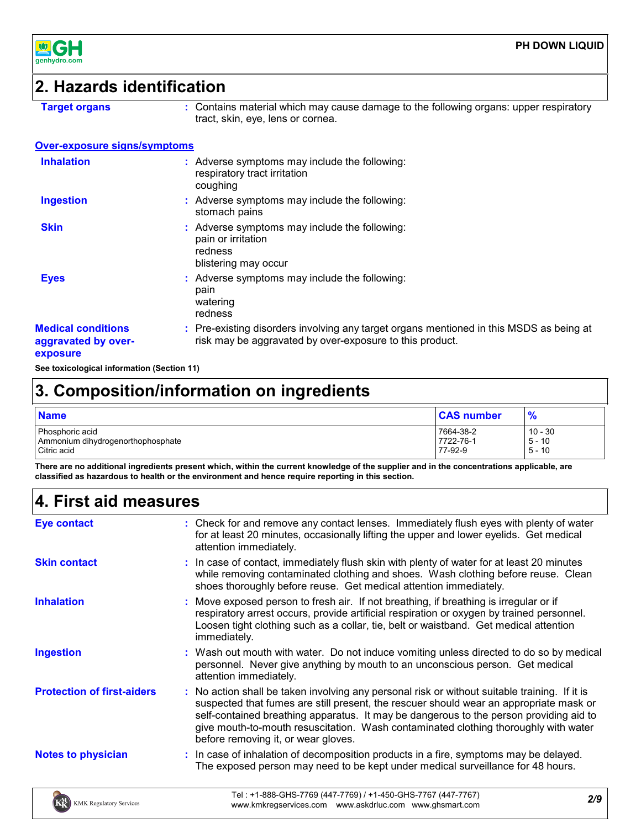

## **2. Hazards identification**

**Target organs :** Contains material which may cause damage to the following organs: upper respiratory tract, skin, eye, lens or cornea.

### **Over-exposure signs/symptoms**

| <b>Inhalation</b>                                            | Adverse symptoms may include the following:<br>respiratory tract irritation<br>coughing                                                             |
|--------------------------------------------------------------|-----------------------------------------------------------------------------------------------------------------------------------------------------|
| <b>Ingestion</b>                                             | : Adverse symptoms may include the following:<br>stomach pains                                                                                      |
| <b>Skin</b>                                                  | Adverse symptoms may include the following:<br>pain or irritation<br>redness<br>blistering may occur                                                |
| <b>Eyes</b>                                                  | : Adverse symptoms may include the following:<br>pain<br>watering<br>redness                                                                        |
| <b>Medical conditions</b><br>aggravated by over-<br>exposure | : Pre-existing disorders involving any target organs mentioned in this MSDS as being at<br>risk may be aggravated by over-exposure to this product. |

**See toxicological information (Section 11)**

## **3. Composition/information on ingredients**

| <b>Name</b>                       | <b>CAS number</b> | $\frac{9}{6}$ |
|-----------------------------------|-------------------|---------------|
| Phosphoric acid                   | 7664-38-2         | $10 - 30$     |
| Ammonium dihydrogenorthophosphate | 7722-76-1         | $5 - 10$      |
| Citric acid                       | 77-92-9           | $5 - 10$      |

**There are no additional ingredients present which, within the current knowledge of the supplier and in the concentrations applicable, are classified as hazardous to health or the environment and hence require reporting in this section.**

## **4. First aid measures**

| <b>Eye contact</b>                | : Check for and remove any contact lenses. Immediately flush eyes with plenty of water<br>for at least 20 minutes, occasionally lifting the upper and lower eyelids. Get medical<br>attention immediately.                                                                                                                                                                                                      |
|-----------------------------------|-----------------------------------------------------------------------------------------------------------------------------------------------------------------------------------------------------------------------------------------------------------------------------------------------------------------------------------------------------------------------------------------------------------------|
| <b>Skin contact</b>               | : In case of contact, immediately flush skin with plenty of water for at least 20 minutes<br>while removing contaminated clothing and shoes. Wash clothing before reuse. Clean<br>shoes thoroughly before reuse. Get medical attention immediately.                                                                                                                                                             |
| <b>Inhalation</b>                 | : Move exposed person to fresh air. If not breathing, if breathing is irregular or if<br>respiratory arrest occurs, provide artificial respiration or oxygen by trained personnel.<br>Loosen tight clothing such as a collar, tie, belt or waistband. Get medical attention<br>immediately.                                                                                                                     |
| <b>Ingestion</b>                  | : Wash out mouth with water. Do not induce vomiting unless directed to do so by medical<br>personnel. Never give anything by mouth to an unconscious person. Get medical<br>attention immediately.                                                                                                                                                                                                              |
| <b>Protection of first-aiders</b> | : No action shall be taken involving any personal risk or without suitable training. If it is<br>suspected that fumes are still present, the rescuer should wear an appropriate mask or<br>self-contained breathing apparatus. It may be dangerous to the person providing aid to<br>give mouth-to-mouth resuscitation. Wash contaminated clothing thoroughly with water<br>before removing it, or wear gloves. |
| <b>Notes to physician</b>         | : In case of inhalation of decomposition products in a fire, symptoms may be delayed.<br>The exposed person may need to be kept under medical surveillance for 48 hours.                                                                                                                                                                                                                                        |
| <b>KMK Regulatory Services</b>    | Tel: +1-888-GHS-7769 (447-7769) / +1-450-GHS-7767 (447-7767)<br>2/9<br>www.kmkregservices.com www.askdrluc.com www.ghsmart.com                                                                                                                                                                                                                                                                                  |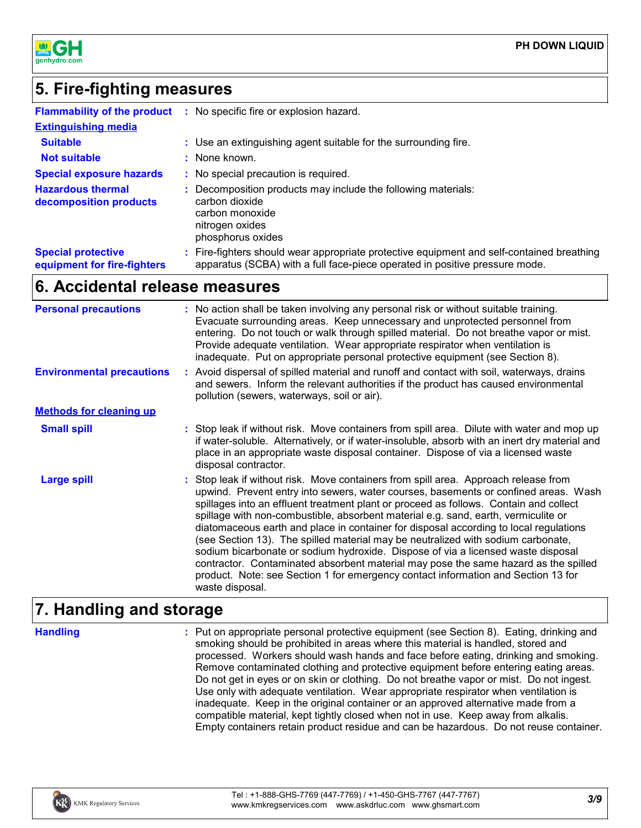

## **5. Fire-fighting measures**

| <b>Flammability of the product</b>                       | -11 | No specific fire or explosion hazard.                                                                                                                                  |
|----------------------------------------------------------|-----|------------------------------------------------------------------------------------------------------------------------------------------------------------------------|
| <b>Extinguishing media</b>                               |     |                                                                                                                                                                        |
| <b>Suitable</b>                                          |     | : Use an extinguishing agent suitable for the surrounding fire.                                                                                                        |
| <b>Not suitable</b>                                      |     | : None known.                                                                                                                                                          |
| <b>Special exposure hazards</b>                          |     | : No special precaution is required.                                                                                                                                   |
| <b>Hazardous thermal</b><br>decomposition products       |     | Decomposition products may include the following materials:<br>carbon dioxide<br>carbon monoxide<br>nitrogen oxides<br>phosphorus oxides                               |
| <b>Special protective</b><br>equipment for fire-fighters |     | Fire-fighters should wear appropriate protective equipment and self-contained breathing<br>apparatus (SCBA) with a full face-piece operated in positive pressure mode. |

## **6. Accidental release measures**

| <b>Personal precautions</b>      | : No action shall be taken involving any personal risk or without suitable training.<br>Evacuate surrounding areas. Keep unnecessary and unprotected personnel from<br>entering. Do not touch or walk through spilled material. Do not breathe vapor or mist.<br>Provide adequate ventilation. Wear appropriate respirator when ventilation is<br>inadequate. Put on appropriate personal protective equipment (see Section 8).                                                                                                                                                                                                                                                                                                                                                                                           |  |
|----------------------------------|---------------------------------------------------------------------------------------------------------------------------------------------------------------------------------------------------------------------------------------------------------------------------------------------------------------------------------------------------------------------------------------------------------------------------------------------------------------------------------------------------------------------------------------------------------------------------------------------------------------------------------------------------------------------------------------------------------------------------------------------------------------------------------------------------------------------------|--|
| <b>Environmental precautions</b> | : Avoid dispersal of spilled material and runoff and contact with soil, waterways, drains<br>and sewers. Inform the relevant authorities if the product has caused environmental<br>pollution (sewers, waterways, soil or air).                                                                                                                                                                                                                                                                                                                                                                                                                                                                                                                                                                                           |  |
| <b>Methods for cleaning up</b>   |                                                                                                                                                                                                                                                                                                                                                                                                                                                                                                                                                                                                                                                                                                                                                                                                                           |  |
| <b>Small spill</b>               | : Stop leak if without risk. Move containers from spill area. Dilute with water and mop up<br>if water-soluble. Alternatively, or if water-insoluble, absorb with an inert dry material and<br>place in an appropriate waste disposal container. Dispose of via a licensed waste<br>disposal contractor.                                                                                                                                                                                                                                                                                                                                                                                                                                                                                                                  |  |
| <b>Large spill</b>               | : Stop leak if without risk. Move containers from spill area. Approach release from<br>upwind. Prevent entry into sewers, water courses, basements or confined areas. Wash<br>spillages into an effluent treatment plant or proceed as follows. Contain and collect<br>spillage with non-combustible, absorbent material e.g. sand, earth, vermiculite or<br>diatomaceous earth and place in container for disposal according to local regulations<br>(see Section 13). The spilled material may be neutralized with sodium carbonate,<br>sodium bicarbonate or sodium hydroxide. Dispose of via a licensed waste disposal<br>contractor. Contaminated absorbent material may pose the same hazard as the spilled<br>product. Note: see Section 1 for emergency contact information and Section 13 for<br>waste disposal. |  |

### **7. Handling and storage**

**Handling :**

Put on appropriate personal protective equipment (see Section 8). Eating, drinking and smoking should be prohibited in areas where this material is handled, stored and processed. Workers should wash hands and face before eating, drinking and smoking. Remove contaminated clothing and protective equipment before entering eating areas. Do not get in eyes or on skin or clothing. Do not breathe vapor or mist. Do not ingest. Use only with adequate ventilation. Wear appropriate respirator when ventilation is inadequate. Keep in the original container or an approved alternative made from a compatible material, kept tightly closed when not in use. Keep away from alkalis. Empty containers retain product residue and can be hazardous. Do not reuse container.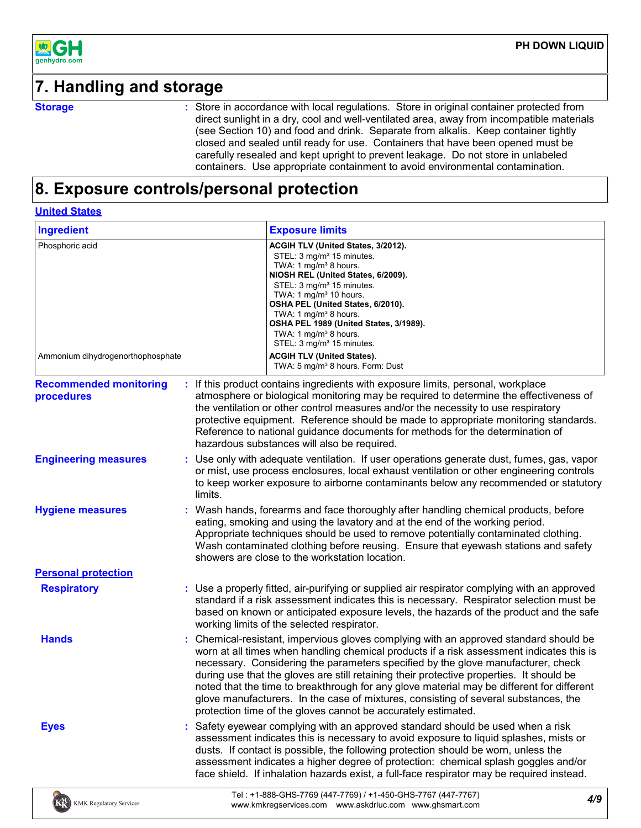

## **7. Handling and storage**

**Storage :**

Store in accordance with local regulations. Store in original container protected from direct sunlight in a dry, cool and well-ventilated area, away from incompatible materials (see Section 10) and food and drink. Separate from alkalis. Keep container tightly closed and sealed until ready for use. Containers that have been opened must be carefully resealed and kept upright to prevent leakage. Do not store in unlabeled containers. Use appropriate containment to avoid environmental contamination.

## **8. Exposure controls/personal protection**

#### **United States**

 $K_{k}^{M}$  KMK Regulatory Services

| <b>Ingredient</b>                                    |         | <b>Exposure limits</b>                                                                                                                                                                                                                                                                                                                                                                                                                                                                                                                                                                                               |     |  |  |
|------------------------------------------------------|---------|----------------------------------------------------------------------------------------------------------------------------------------------------------------------------------------------------------------------------------------------------------------------------------------------------------------------------------------------------------------------------------------------------------------------------------------------------------------------------------------------------------------------------------------------------------------------------------------------------------------------|-----|--|--|
| Phosphoric acid<br>Ammonium dihydrogenorthophosphate |         | ACGIH TLV (United States, 3/2012).<br>STEL: 3 mg/m <sup>3</sup> 15 minutes.<br>TWA: 1 mg/m <sup>3</sup> 8 hours.<br>NIOSH REL (United States, 6/2009).<br>STEL: 3 mg/m <sup>3</sup> 15 minutes.<br>TWA: 1 mg/m <sup>3</sup> 10 hours.<br>OSHA PEL (United States, 6/2010).<br>TWA: 1 mg/m <sup>3</sup> 8 hours.<br>OSHA PEL 1989 (United States, 3/1989).<br>TWA: 1 mg/m <sup>3</sup> 8 hours.<br>STEL: 3 mg/m <sup>3</sup> 15 minutes.<br><b>ACGIH TLV (United States).</b><br>TWA: 5 mg/m <sup>3</sup> 8 hours. Form: Dust                                                                                         |     |  |  |
| <b>Recommended monitoring</b><br>procedures          |         | If this product contains ingredients with exposure limits, personal, workplace<br>atmosphere or biological monitoring may be required to determine the effectiveness of<br>the ventilation or other control measures and/or the necessity to use respiratory<br>protective equipment. Reference should be made to appropriate monitoring standards.<br>Reference to national guidance documents for methods for the determination of<br>hazardous substances will also be required.                                                                                                                                  |     |  |  |
| <b>Engineering measures</b>                          | limits. | Use only with adequate ventilation. If user operations generate dust, fumes, gas, vapor<br>or mist, use process enclosures, local exhaust ventilation or other engineering controls<br>to keep worker exposure to airborne contaminants below any recommended or statutory                                                                                                                                                                                                                                                                                                                                           |     |  |  |
| <b>Hygiene measures</b>                              |         | Wash hands, forearms and face thoroughly after handling chemical products, before<br>eating, smoking and using the lavatory and at the end of the working period.<br>Appropriate techniques should be used to remove potentially contaminated clothing.<br>Wash contaminated clothing before reusing. Ensure that eyewash stations and safety<br>showers are close to the workstation location.                                                                                                                                                                                                                      |     |  |  |
| <b>Personal protection</b>                           |         |                                                                                                                                                                                                                                                                                                                                                                                                                                                                                                                                                                                                                      |     |  |  |
| <b>Respiratory</b>                                   |         | : Use a properly fitted, air-purifying or supplied air respirator complying with an approved<br>standard if a risk assessment indicates this is necessary. Respirator selection must be<br>based on known or anticipated exposure levels, the hazards of the product and the safe<br>working limits of the selected respirator.                                                                                                                                                                                                                                                                                      |     |  |  |
| <b>Hands</b>                                         |         | Chemical-resistant, impervious gloves complying with an approved standard should be<br>worn at all times when handling chemical products if a risk assessment indicates this is<br>necessary. Considering the parameters specified by the glove manufacturer, check<br>during use that the gloves are still retaining their protective properties. It should be<br>noted that the time to breakthrough for any glove material may be different for different<br>glove manufacturers. In the case of mixtures, consisting of several substances, the<br>protection time of the gloves cannot be accurately estimated. |     |  |  |
| <b>Eyes</b>                                          |         | Safety eyewear complying with an approved standard should be used when a risk<br>assessment indicates this is necessary to avoid exposure to liquid splashes, mists or<br>dusts. If contact is possible, the following protection should be worn, unless the<br>assessment indicates a higher degree of protection: chemical splash goggles and/or<br>face shield. If inhalation hazards exist, a full-face respirator may be required instead.                                                                                                                                                                      |     |  |  |
| <b>EM</b> EMP <sub>D</sub>                           |         | Tel: +1-888-GHS-7769 (447-7769) / +1-450-GHS-7767 (447-7767)                                                                                                                                                                                                                                                                                                                                                                                                                                                                                                                                                         | 4/9 |  |  |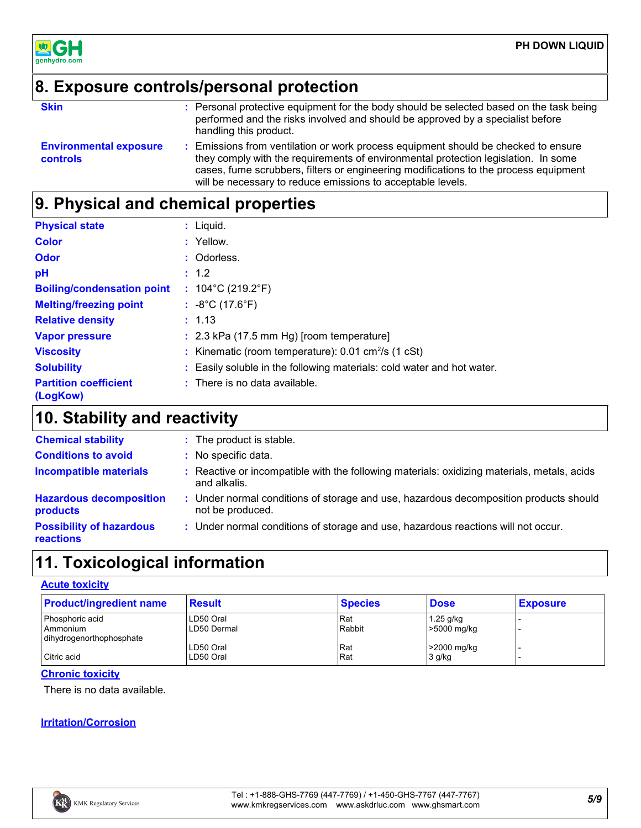

## **8. Exposure controls/personal protection**

**Skin Example 20 Constructs:** Personal protective equipment for the body should be selected based on the task being **Skinner** performed and the risks involved and should be approved by a specialist before handling this product.

**Environmental exposure controls**

**:** Emissions from ventilation or work process equipment should be checked to ensure they comply with the requirements of environmental protection legislation. In some cases, fume scrubbers, filters or engineering modifications to the process equipment will be necessary to reduce emissions to acceptable levels.

## **9. Physical and chemical properties**

| <b>Physical state</b>                    | $:$ Liquid.                                                            |
|------------------------------------------|------------------------------------------------------------------------|
| <b>Color</b>                             | : Yellow.                                                              |
| Odor                                     | : Odorless.                                                            |
| pH                                       | : 1.2                                                                  |
| <b>Boiling/condensation point</b>        | : $104^{\circ}$ C (219.2 $^{\circ}$ F)                                 |
| <b>Melting/freezing point</b>            | : $-8^{\circ}$ C (17.6 $^{\circ}$ F)                                   |
| <b>Relative density</b>                  | : 1.13                                                                 |
| <b>Vapor pressure</b>                    | $: 2.3$ kPa (17.5 mm Hg) [room temperature]                            |
| <b>Viscosity</b>                         | : Kinematic (room temperature): $0.01 \text{ cm}^2/\text{s}$ (1 cSt)   |
| <b>Solubility</b>                        | : Easily soluble in the following materials: cold water and hot water. |
| <b>Partition coefficient</b><br>(LogKow) | : There is no data available.                                          |

## **10. Stability and reactivity**

| <b>Chemical stability</b>                           | : The product is stable.                                                                                    |
|-----------------------------------------------------|-------------------------------------------------------------------------------------------------------------|
| <b>Conditions to avoid</b>                          | : No specific data.                                                                                         |
| <b>Incompatible materials</b>                       | : Reactive or incompatible with the following materials: oxidizing materials, metals, acids<br>and alkalis. |
| <b>Hazardous decomposition</b><br>products          | : Under normal conditions of storage and use, hazardous decomposition products should<br>not be produced.   |
| <b>Possibility of hazardous</b><br><b>reactions</b> | : Under normal conditions of storage and use, hazardous reactions will not occur.                           |

## **11. Toxicological information**

### **Acute toxicity**

| <b>Product/ingredient name</b> | <b>Result</b> | <b>Species</b> | <b>Dose</b> | <b>Exposure</b> |
|--------------------------------|---------------|----------------|-------------|-----------------|
| Phosphoric acid                | LD50 Oral     | Rat            | $1.25$ g/kg |                 |
| l Ammonium                     | LD50 Dermal   | Rabbit         | >5000 mg/kg |                 |
| dihydrogenorthophosphate       |               |                |             |                 |
|                                | LD50 Oral     | lRat           | >2000 mg/kg |                 |
| Citric acid                    | LD50 Oral     | Rat            | 3 g/kg      |                 |

### **Chronic toxicity**

There is no data available.

### **Irritation/Corrosion**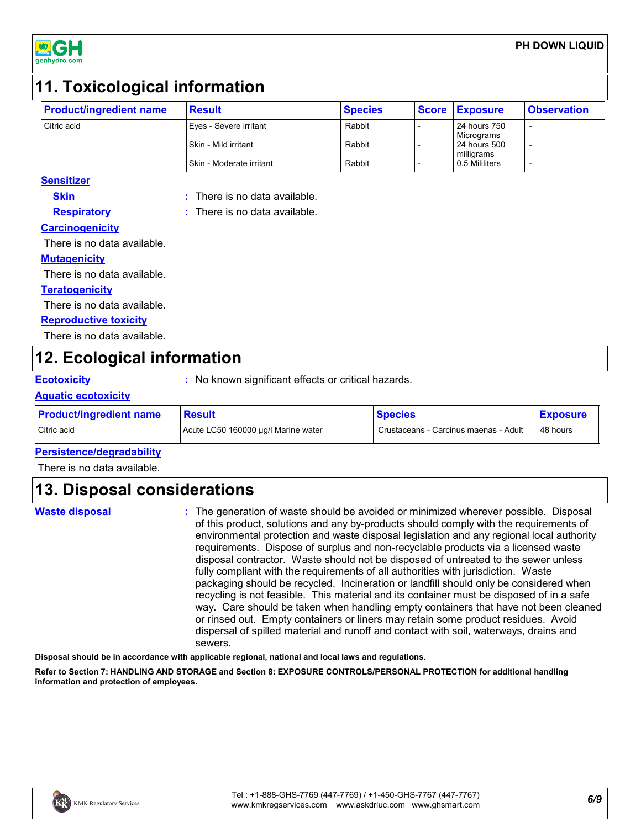

## **11. Toxicological information**

| <b>Product/ingredient name</b> | <b>Result</b>            | <b>Species</b> | Score Exposure | <b>Observation</b> |
|--------------------------------|--------------------------|----------------|----------------|--------------------|
| Citric acid                    | Eyes - Severe irritant   | Rabbit         | 24 hours 750   | -                  |
|                                |                          |                | Micrograms     |                    |
|                                | Skin - Mild irritant     | Rabbit         | 24 hours 500   |                    |
|                                |                          |                | milligrams     |                    |
|                                | Skin - Moderate irritant | Rabbit         | 0.5 Mililiters |                    |

### **Sensitizer Skin**

**:** There is no data available.

**:** There is no data available.

**Respiratory Carcinogenicity**

There is no data available.

### **Mutagenicity**

There is no data available.

### **Teratogenicity**

There is no data available.

### **Reproductive toxicity**

There is no data available.

## **12. Ecological information**

**Ecotoxicity :** No known significant effects or critical hazards.

### **Aquatic ecotoxicity**

| <b>Product/ingredient name</b> | <b>Result</b>                       | <b>Species</b>                        | <b>Exposure</b> |
|--------------------------------|-------------------------------------|---------------------------------------|-----------------|
| Citric acid                    | Acute LC50 160000 µg/l Marine water | Crustaceans - Carcinus maenas - Adult | 48 hours        |

### **Persistence/degradability**

There is no data available.

## **13. Disposal considerations**

**Waste disposal**

The generation of waste should be avoided or minimized wherever possible. Disposal **:** of this product, solutions and any by-products should comply with the requirements of environmental protection and waste disposal legislation and any regional local authority requirements. Dispose of surplus and non-recyclable products via a licensed waste disposal contractor. Waste should not be disposed of untreated to the sewer unless fully compliant with the requirements of all authorities with jurisdiction. Waste packaging should be recycled. Incineration or landfill should only be considered when recycling is not feasible. This material and its container must be disposed of in a safe way. Care should be taken when handling empty containers that have not been cleaned or rinsed out. Empty containers or liners may retain some product residues. Avoid dispersal of spilled material and runoff and contact with soil, waterways, drains and sewers.

**Disposal should be in accordance with applicable regional, national and local laws and regulations.**

**Refer to Section 7: HANDLING AND STORAGE and Section 8: EXPOSURE CONTROLS/PERSONAL PROTECTION for additional handling information and protection of employees.**

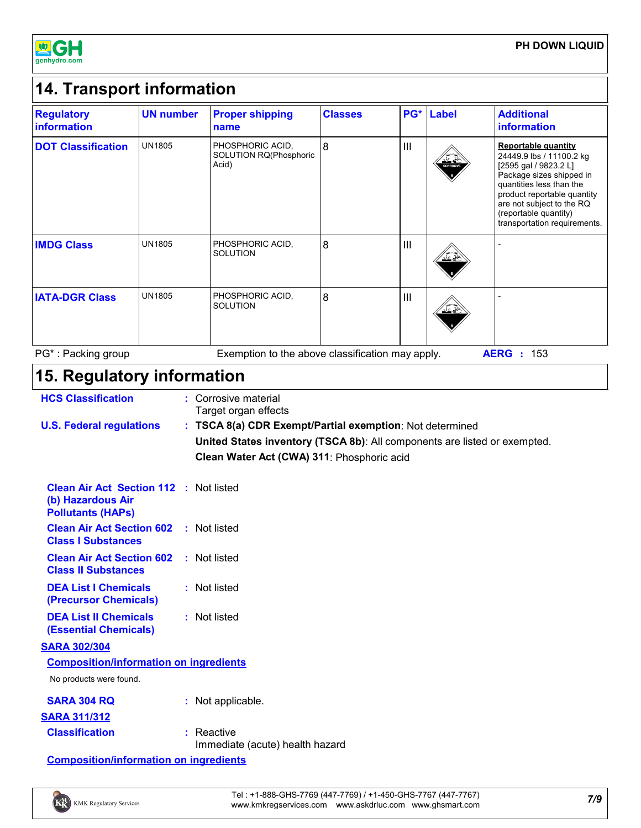

#### **14. Transport information Regulatory information UN number Proper shipping name Classes PG\* Label Additional**

| information               |               | name                                                |   |     |                        | <b>information</b>                                                                                                                                                                                                                                           |
|---------------------------|---------------|-----------------------------------------------------|---|-----|------------------------|--------------------------------------------------------------------------------------------------------------------------------------------------------------------------------------------------------------------------------------------------------------|
| <b>DOT Classification</b> | <b>UN1805</b> | PHOSPHORIC ACID,<br>SOLUTION RQ(Phosphoric<br>Acid) | 8 | III | <u>≚≚</u><br>CORROSIVE | <b>Reportable quantity</b><br>24449.9 lbs / 11100.2 kg<br>[2595 gal / 9823.2 L]<br>Package sizes shipped in<br>quantities less than the<br>product reportable quantity<br>are not subject to the RQ<br>(reportable quantity)<br>transportation requirements. |
| <b>IMDG Class</b>         | <b>UN1805</b> | PHOSPHORIC ACID.<br><b>SOLUTION</b>                 | 8 | III |                        |                                                                                                                                                                                                                                                              |
| <b>IATA-DGR Class</b>     | <b>UN1805</b> | PHOSPHORIC ACID.<br><b>SOLUTION</b>                 | 8 | III | ≚∛                     |                                                                                                                                                                                                                                                              |
| PG*: Packing group        |               | Exemption to the above classification may apply.    |   |     |                        | <b>AERG</b><br>153<br>÷                                                                                                                                                                                                                                      |

## **15. Regulatory information**

| <b>HCS Classification</b>       | : Corrosive material<br>Target organ effects                                                                                                                                        |
|---------------------------------|-------------------------------------------------------------------------------------------------------------------------------------------------------------------------------------|
| <b>U.S. Federal regulations</b> | : TSCA 8(a) CDR Exempt/Partial exemption: Not determined<br>United States inventory (TSCA 8b): All components are listed or exempted.<br>Clean Water Act (CWA) 311: Phosphoric acid |

| <b>Clean Air Act Section 112 : Not listed</b><br>(b) Hazardous Air<br><b>Pollutants (HAPs)</b> |              |
|------------------------------------------------------------------------------------------------|--------------|
| <b>Clean Air Act Section 602</b> : Not listed<br><b>Class I Substances</b>                     |              |
| <b>Clean Air Act Section 602</b> : Not listed<br><b>Class II Substances</b>                    |              |
| <b>DEA List I Chemicals</b><br>(Precursor Chemicals)                                           | : Not listed |
| <b>DEA List II Chemicals</b>                                                                   | : Not listed |

**(Essential Chemicals)**

### **SARA 302/304**

| <b>Composition/information on ingredients</b> |  |
|-----------------------------------------------|--|
| No products were found.                       |  |

| SARA 304 RQ           | : Not applicable.                               |
|-----------------------|-------------------------------------------------|
| <b>SARA 311/312</b>   |                                                 |
| <b>Classification</b> | $:$ Reactive<br>Immediate (acute) health hazard |

**Composition/information on ingredients**

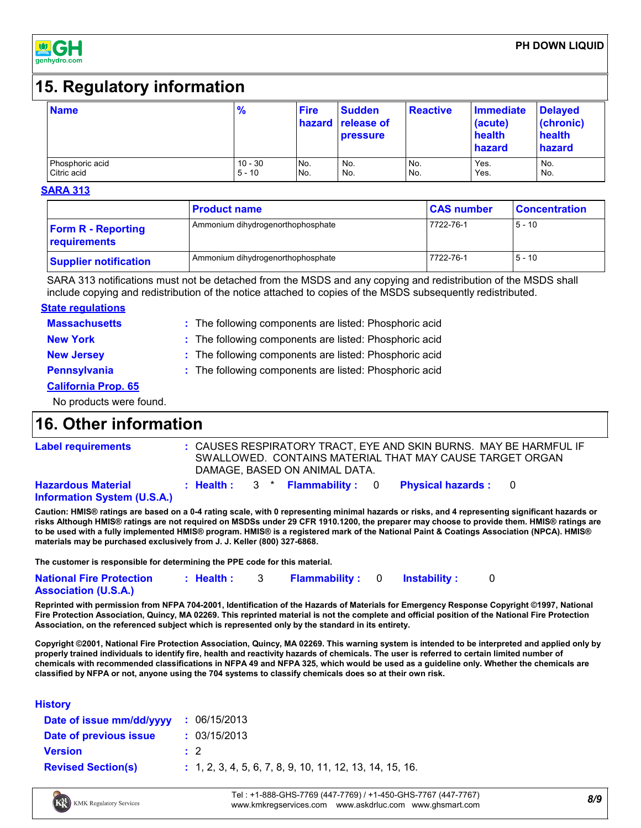

## **15. Regulatory information**

| <b>Name</b>     | $\frac{9}{6}$ | <b>Fire</b> | <b>Sudden</b><br>hazard release of<br><b>pressure</b> | <b>Reactive</b> | <b>Immediate</b><br>(acute)<br>health<br>hazard | <b>Delayed</b><br>(chronic)<br>health<br>hazard |
|-----------------|---------------|-------------|-------------------------------------------------------|-----------------|-------------------------------------------------|-------------------------------------------------|
| Phosphoric acid | $10 - 30$     | No.         | No.                                                   | No.             | Yes.                                            | No.                                             |
| Citric acid     | $5 - 10$      | No.         | No.                                                   | No.             | Yes.                                            | No.                                             |

#### **SARA 313**

|                                           | <b>Product name</b>               | <b>CAS number</b> | <b>Concentration</b> |
|-------------------------------------------|-----------------------------------|-------------------|----------------------|
| <b>Form R - Reporting</b><br>requirements | Ammonium dihydrogenorthophosphate | 7722-76-1         | $5 - 10$             |
| <b>Supplier notification</b>              | Ammonium dihydrogenorthophosphate | 7722-76-1         | $5 - 10$             |

SARA 313 notifications must not be detached from the MSDS and any copying and redistribution of the MSDS shall include copying and redistribution of the notice attached to copies of the MSDS subsequently redistributed.

### **State regulations**

| <b>Massachusetts</b>       | : The following components are listed: Phosphoric acid |
|----------------------------|--------------------------------------------------------|
| <b>New York</b>            | : The following components are listed: Phosphoric acid |
| <b>New Jersey</b>          | : The following components are listed: Phosphoric acid |
| Pennsylvania               | : The following components are listed: Phosphoric acid |
| <b>California Prop. 65</b> |                                                        |
|                            |                                                        |

No products were found.

## **16. Other information**

| <b>Label requirements</b>                                       |  |  | DAMAGE, BASED ON ANIMAL DATA. | : CAUSES RESPIRATORY TRACT, EYE AND SKIN BURNS. MAY BE HARMFUL IF<br>SWALLOWED. CONTAINS MATERIAL THAT MAY CAUSE TARGET ORGAN |  |
|-----------------------------------------------------------------|--|--|-------------------------------|-------------------------------------------------------------------------------------------------------------------------------|--|
| <b>Hazardous Material</b><br><b>Information System (U.S.A.)</b> |  |  |                               | : Health : $3 *$ Flammability : 0 Physical hazards : 0                                                                        |  |

**Information System (U.S.A.)**

**Caution: HMIS® ratings are based on a 0-4 rating scale, with 0 representing minimal hazards or risks, and 4 representing significant hazards or risks Although HMIS® ratings are not required on MSDSs under 29 CFR 1910.1200, the preparer may choose to provide them. HMIS® ratings are to be used with a fully implemented HMIS® program. HMIS® is a registered mark of the National Paint & Coatings Association (NPCA). HMIS® materials may be purchased exclusively from J. J. Keller (800) 327-6868.**

**The customer is responsible for determining the PPE code for this material.**

| <b>National Fire Protection</b> | : Health: | <b>Flammability</b> : 0 Instability: |  |  |
|---------------------------------|-----------|--------------------------------------|--|--|
| <b>Association (U.S.A.)</b>     |           |                                      |  |  |

**Reprinted with permission from NFPA 704-2001, Identification of the Hazards of Materials for Emergency Response Copyright ©1997, National Fire Protection Association, Quincy, MA 02269. This reprinted material is not the complete and official position of the National Fire Protection Association, on the referenced subject which is represented only by the standard in its entirety.**

**Copyright ©2001, National Fire Protection Association, Quincy, MA 02269. This warning system is intended to be interpreted and applied only by properly trained individuals to identify fire, health and reactivity hazards of chemicals. The user is referred to certain limited number of chemicals with recommended classifications in NFPA 49 and NFPA 325, which would be used as a guideline only. Whether the chemicals are classified by NFPA or not, anyone using the 704 systems to classify chemicals does so at their own risk.**

### **History**

| Date of issue mm/dd/yyyy  | : 06/15/2013                                               |
|---------------------------|------------------------------------------------------------|
| Date of previous issue    | : 03/15/2013                                               |
| <b>Version</b>            | $\pm$ 2                                                    |
| <b>Revised Section(s)</b> | $: 1, 2, 3, 4, 5, 6, 7, 8, 9, 10, 11, 12, 13, 14, 15, 16.$ |